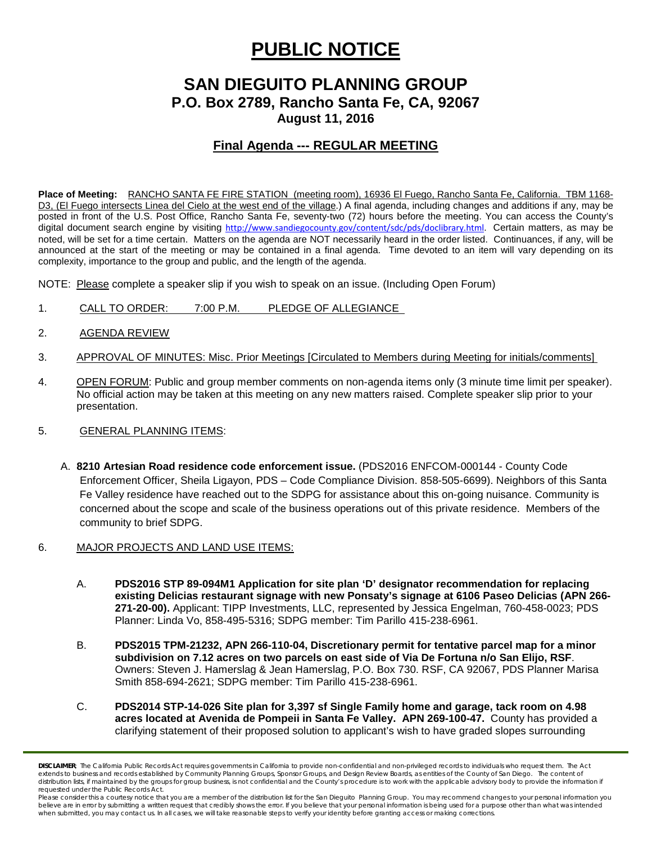# **PUBLIC NOTICE**

# **SAN DIEGUITO PLANNING GROUP P.O. Box 2789, Rancho Santa Fe, CA, 92067**

**August 11, 2016**

## **Final Agenda --- REGULAR MEETING**

**Place of Meeting:** RANCHO SANTA FE FIRE STATION (meeting room), 16936 El Fuego, Rancho Santa Fe, California. TBM 1168- D3, (El Fuego intersects Linea del Cielo at the west end of the village.) A final agenda, including changes and additions if any, may be posted in front of the U.S. Post Office, Rancho Santa Fe, seventy-two (72) hours before the meeting. You can access the County's digital document search engine by visiting [http://www.sandiegocounty.gov/content/sdc/pds/doclibrary.html.](http://www.sandiegocounty.gov/content/sdc/pds/doclibrary.html) Certain matters, as may be noted, will be set for a time certain. Matters on the agenda are NOT necessarily heard in the order listed. Continuances, if any, will be announced at the start of the meeting or may be contained in a final agenda. Time devoted to an item will vary depending on its complexity, importance to the group and public, and the length of the agenda.

NOTE: Please complete a speaker slip if you wish to speak on an issue. (Including Open Forum)

- 1. CALL TO ORDER: 7:00 P.M. PLEDGE OF ALLEGIANCE
- 2. AGENDA REVIEW
- 3. APPROVAL OF MINUTES: Misc. Prior Meetings [Circulated to Members during Meeting for initials/comments]
- 4. OPEN FORUM: Public and group member comments on non-agenda items only (3 minute time limit per speaker). No official action may be taken at this meeting on any new matters raised. Complete speaker slip prior to your presentation.

### 5. GENERAL PLANNING ITEMS:

- A. **8210 Artesian Road residence code enforcement issue.** (PDS2016 ENFCOM-000144 County Code Enforcement Officer, Sheila Ligayon, PDS – Code Compliance Division. 858-505-6699). Neighbors of this Santa Fe Valley residence have reached out to the SDPG for assistance about this on-going nuisance. Community is concerned about the scope and scale of the business operations out of this private residence. Members of the community to brief SDPG.
- 6. MAJOR PROJECTS AND LAND USE ITEMS:
	- A. **PDS2016 STP 89-094M1 Application for site plan 'D' designator recommendation for replacing existing Delicias restaurant signage with new Ponsaty's signage at 6106 Paseo Delicias (APN 266- 271-20-00).** Applicant: TIPP Investments, LLC, represented by Jessica Engelman, [760-458-0023;](tel:760-458-0023) PDS Planner: Linda Vo, [858-495-5316;](tel:858-495-5316) SDPG member: Tim Parillo [415-238-6961.](tel:415-238-6961)
	- B. **PDS2015 TPM-21232, APN 266-110-04, Discretionary permit for tentative parcel map for a minor subdivision on 7.12 acres on two parcels on east side of Via De Fortuna n/o San Elijo, RSF**. Owners: Steven J. Hamerslag & Jean Hamerslag, P.O. Box 730. RSF, CA 92067, PDS Planner Marisa Smith 858-694-2621; SDPG member: Tim Parillo [415-238-6961.](tel:415-238-6961)
	- C. **PDS2014 STP-14-026 Site plan for 3,397 sf Single Family home and garage, tack room on 4.98 acres located at Avenida de Pompeii in Santa Fe Valley. APN 269-100-47.** County has provided a clarifying statement of their proposed solution to applicant's wish to have graded slopes surrounding

*DISCLAIMER; The California Public Records Act requires governments in California to provide non-confidential and non-privileged records to individuals who request them. The Act*  extends to business and records established by Community Planning Groups, Sponsor Groups, and Design Review Boards, as entities of the County of San Diego. The content of distribution lists, if maintained by the groups for group business, is not confidential and the County's procedure is to work with the applicable advisory body to provide the information if *requested under the Public Records Act.*

Please consider this a courtesy notice that you are a member of the distribution list for the San Dieguito Planning Group. You may recommend changes to your personal information you believe are in error by submitting a written request that credibly shows the error. If you believe that your personal information is being used for a purpose other than what was intended<br>when submitted, you may contact us.